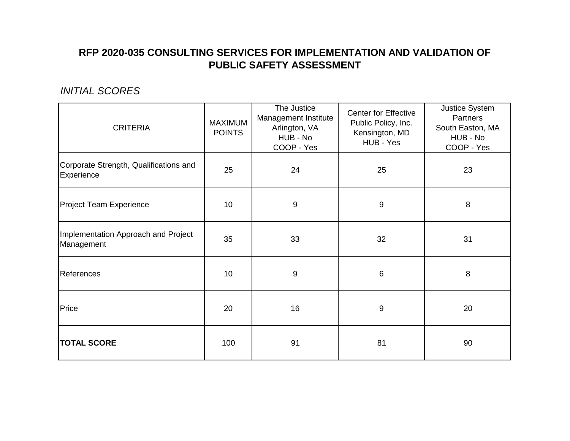# **RFP 2020-035 CONSULTING SERVICES FOR IMPLEMENTATION AND VALIDATION OF PUBLIC SAFETY ASSESSMENT**

### *INITIAL SCORES*

| <b>CRITERIA</b>                                      | <b>MAXIMUM</b><br><b>POINTS</b> | The Justice<br>Management Institute<br>Arlington, VA<br>HUB - No<br>COOP - Yes | <b>Center for Effective</b><br>Public Policy, Inc.<br>Kensington, MD<br>HUB - Yes | Justice System<br>Partners<br>South Easton, MA<br>HUB - No<br>COOP - Yes |
|------------------------------------------------------|---------------------------------|--------------------------------------------------------------------------------|-----------------------------------------------------------------------------------|--------------------------------------------------------------------------|
| Corporate Strength, Qualifications and<br>Experience | 25                              | 24                                                                             | 25                                                                                | 23                                                                       |
| Project Team Experience                              | 10                              | $\overline{9}$                                                                 | 9                                                                                 | 8                                                                        |
| Implementation Approach and Project<br>Management    | 35                              | 33                                                                             | 32                                                                                | 31                                                                       |
| References                                           | 10                              | 9                                                                              | 6                                                                                 | 8                                                                        |
| Price                                                | 20                              | 16                                                                             | 9                                                                                 | 20                                                                       |
| <b>TOTAL SCORE</b>                                   | 100                             | 91                                                                             | 81                                                                                | 90                                                                       |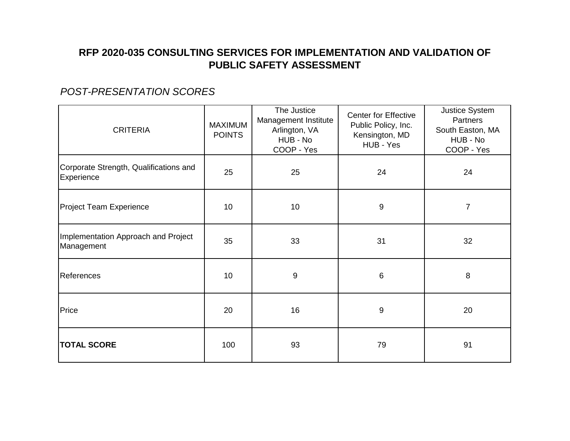# **RFP 2020-035 CONSULTING SERVICES FOR IMPLEMENTATION AND VALIDATION OF PUBLIC SAFETY ASSESSMENT**

### *POST-PRESENTATION SCORES*

| <b>CRITERIA</b>                                      | <b>MAXIMUM</b><br><b>POINTS</b> | The Justice<br>Management Institute<br>Arlington, VA<br>HUB - No<br>COOP - Yes | <b>Center for Effective</b><br>Public Policy, Inc.<br>Kensington, MD<br>HUB - Yes | Justice System<br>Partners<br>South Easton, MA<br>HUB - No<br>COOP - Yes |
|------------------------------------------------------|---------------------------------|--------------------------------------------------------------------------------|-----------------------------------------------------------------------------------|--------------------------------------------------------------------------|
| Corporate Strength, Qualifications and<br>Experience | 25                              | 25                                                                             | 24                                                                                | 24                                                                       |
| <b>Project Team Experience</b>                       | 10                              | 10 <sub>1</sub>                                                                | 9                                                                                 | 7                                                                        |
| Implementation Approach and Project<br>Management    | 35                              | 33                                                                             | 31                                                                                | 32                                                                       |
| References                                           | 10                              | $9\,$                                                                          | $\,6$                                                                             | 8                                                                        |
| Price                                                | 20                              | 16                                                                             | 9                                                                                 | 20                                                                       |
| <b>TOTAL SCORE</b>                                   | 100                             | 93                                                                             | 79                                                                                | 91                                                                       |